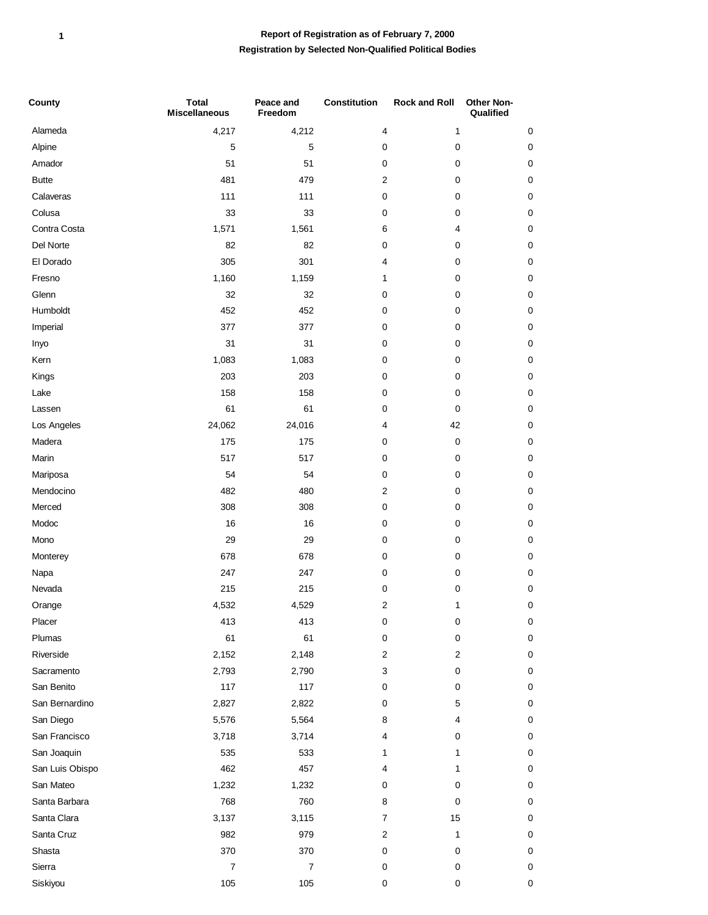## **Registration by Selected Non-Qualified Political Bodies Report of Registration as of February 7, 2000**

| County                       | <b>Total</b><br><b>Miscellaneous</b> | Peace and<br>Freedom | <b>Constitution</b> | <b>Rock and Roll</b> | Other Non-<br>Qualified |
|------------------------------|--------------------------------------|----------------------|---------------------|----------------------|-------------------------|
| Alameda                      | 4,217                                | 4,212                | 4                   | 1                    | 0                       |
| Alpine                       | 5                                    | 5                    | 0                   | 0                    | $\pmb{0}$               |
| Amador                       | 51                                   | 51                   | 0                   | 0                    | 0                       |
| <b>Butte</b>                 | 481                                  | 479                  | $\overline{c}$      | 0                    | 0                       |
| Calaveras                    | 111                                  | 111                  | 0                   | 0                    | $\pmb{0}$               |
| Colusa                       | 33                                   | 33                   | 0                   | 0                    | $\pmb{0}$               |
| Contra Costa                 | 1,571                                | 1,561                | 6                   | 4                    | $\pmb{0}$               |
| Del Norte                    | 82                                   | 82                   | $\pmb{0}$           | 0                    | $\pmb{0}$               |
| El Dorado                    | 305                                  | 301                  | 4                   | 0                    | 0                       |
| Fresno                       | 1,160                                | 1,159                | 1                   | 0                    | $\pmb{0}$               |
| Glenn                        | 32                                   | 32                   | $\pmb{0}$           | 0                    | $\pmb{0}$               |
| Humboldt                     | 452                                  | 452                  | 0                   | 0                    | $\pmb{0}$               |
| Imperial                     | 377                                  | 377                  | 0                   | 0                    | $\pmb{0}$               |
| Inyo                         | 31                                   | 31                   | 0                   | 0                    | $\pmb{0}$               |
| Kern                         | 1,083                                | 1,083                | 0                   | 0                    | 0                       |
| Kings                        | 203                                  | 203                  | 0                   | 0                    | $\pmb{0}$               |
| Lake                         | 158                                  | 158                  | 0                   | 0                    | 0                       |
| Lassen                       | 61                                   | 61                   | 0                   | 0                    | $\mathbf 0$             |
| Los Angeles                  | 24,062                               | 24,016               | 4                   | 42                   | $\pmb{0}$               |
| Madera                       | 175                                  | 175                  | 0                   | $\pmb{0}$            | $\pmb{0}$               |
| Marin                        | 517                                  | 517                  | 0                   | 0                    | $\pmb{0}$               |
| Mariposa                     | 54                                   | 54                   | $\pmb{0}$           | 0                    | $\pmb{0}$               |
| Mendocino                    | 482                                  | 480                  | $\mathbf{2}$        | 0                    | $\mathbf 0$             |
| Merced                       | 308                                  | 308                  | 0                   | 0                    | $\pmb{0}$               |
| Modoc                        | 16                                   | 16                   | $\pmb{0}$           | 0                    | $\pmb{0}$               |
| Mono                         | 29                                   | 29                   | 0                   | 0                    | 0                       |
| Monterey                     | 678                                  | 678                  | 0                   | 0                    | $\pmb{0}$               |
| Napa                         | 247                                  | 247                  | 0                   | 0                    | $\pmb{0}$               |
| Nevada                       | 215                                  | 215                  | 0                   | 0                    | $\pmb{0}$               |
| Orange                       | 4,532                                | 4,529                | 2                   | 1                    | $\Omega$                |
| Placer                       | 413                                  | 413                  | 0                   | $\pmb{0}$            | 0                       |
| Plumas                       | 61                                   | 61                   | 0                   | 0                    | 0                       |
| Riverside                    | 2,152                                | 2,148                | $\overline{c}$      | $\overline{2}$       | 0                       |
| Sacramento                   | 2,793                                | 2,790                | 3                   | 0                    | 0                       |
| San Benito                   | 117                                  | 117                  | 0                   | 0                    | 0                       |
| San Bernardino               | 2,827                                | 2,822                | 0                   | 5                    | 0                       |
| San Diego                    | 5,576                                | 5,564                | 8                   | 4                    | 0                       |
| San Francisco                | 3,718                                | 3,714                | 4                   | 0                    | 0                       |
| San Joaquin                  | 535                                  | 533                  | 1                   | 1                    | 0                       |
| San Luis Obispo              | 462                                  | 457                  | 4                   | 1                    | 0                       |
| San Mateo                    | 1,232                                | 1,232                | 0                   | 0                    | 0                       |
| Santa Barbara<br>Santa Clara | 768                                  | 760                  | 8                   | $\pmb{0}$            | 0                       |
| Santa Cruz                   | 3,137<br>982                         | 3,115<br>979         | 7<br>$\overline{c}$ | 15<br>1              | 0<br>0                  |
| Shasta                       | 370                                  | 370                  | 0                   | 0                    | 0                       |
| Sierra                       | $\boldsymbol{7}$                     | $\overline{7}$       | 0                   | 0                    | 0                       |
| Siskiyou                     | 105                                  | 105                  | 0                   | $\pmb{0}$            | 0                       |
|                              |                                      |                      |                     |                      |                         |